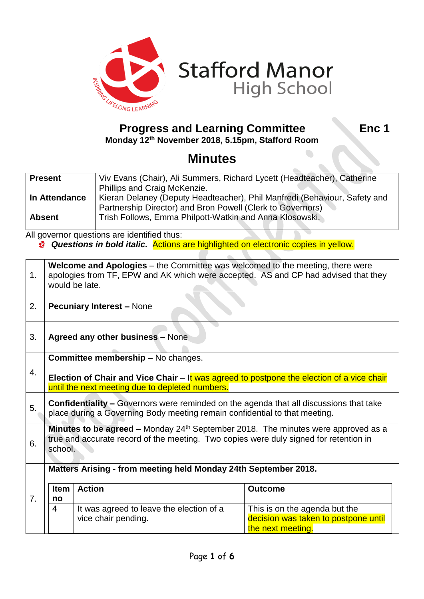

# **Progress and Learning Committee Fig. 2. Enc 1**

**Stafford Manor**<br>High School

**Monday 12th November 2018, 5.15pm, Stafford Room**

## **Minutes**

| <b>Present</b> | Viv Evans (Chair), Ali Summers, Richard Lycett (Headteacher), Catherine   |  |
|----------------|---------------------------------------------------------------------------|--|
|                | Phillips and Craig McKenzie.                                              |  |
| In Attendance  | Kieran Delaney (Deputy Headteacher), Phil Manfredi (Behaviour, Safety and |  |
|                | Partnership Director) and Bron Powell (Clerk to Governors)                |  |
| <b>Absent</b>  | Trish Follows, Emma Philpott-Watkin and Anna Klosowski.                   |  |
|                |                                                                           |  |

All governor questions are identified thus: *Questions in bold italic.* Actions are highlighted on electronic copies in yellow.

| 1. | <b>Welcome and Apologies</b> – the Committee was welcomed to the meeting, there were<br>apologies from TF, EPW and AK which were accepted. AS and CP had advised that they<br>would be late.   |                                                                 |                                                                                            |  |  |
|----|------------------------------------------------------------------------------------------------------------------------------------------------------------------------------------------------|-----------------------------------------------------------------|--------------------------------------------------------------------------------------------|--|--|
| 2. |                                                                                                                                                                                                | <b>Pecuniary Interest - None</b>                                |                                                                                            |  |  |
| 3. | <b>Agreed any other business - None</b>                                                                                                                                                        |                                                                 |                                                                                            |  |  |
| 4. | Committee membership - No changes.<br>Election of Chair and Vice Chair $-$ It was agreed to postpone the election of a vice chair<br>until the next meeting due to depleted numbers.           |                                                                 |                                                                                            |  |  |
| 5. | <b>Confidentiality - Governors were reminded on the agenda that all discussions that take</b><br>place during a Governing Body meeting remain confidential to that meeting.                    |                                                                 |                                                                                            |  |  |
| 6. | <b>Minutes to be agreed –</b> Monday $24th$ September 2018. The minutes were approved as a<br>true and accurate record of the meeting. Two copies were duly signed for retention in<br>school. |                                                                 |                                                                                            |  |  |
|    | Matters Arising - from meeting held Monday 24th September 2018.                                                                                                                                |                                                                 |                                                                                            |  |  |
| 7. | <b>Item</b><br>no                                                                                                                                                                              | <b>Action</b>                                                   | <b>Outcome</b>                                                                             |  |  |
|    | 4                                                                                                                                                                                              | It was agreed to leave the election of a<br>vice chair pending. | This is on the agenda but the<br>decision was taken to postpone until<br>the next meeting. |  |  |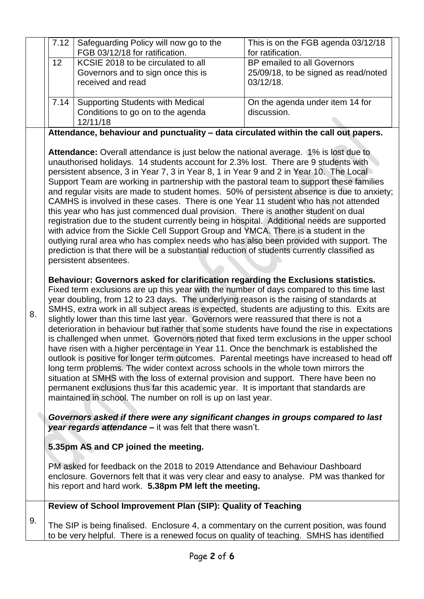|    | 7.12                                                                                                                                                                                                                                                                                                                                                                                                                                                                                                                                                                                                                                                                                                                                                                                                                                                                                                                                                                                                                                                                                                                                                                                                                                                                                                                                                                                                                                                                                                                                                                                                                                                                                                                                                                                                                                                                                                                                                                                                                                                                                                                                                                                                                                                                                                                                             | Safeguarding Policy will now go to the<br>FGB 03/12/18 for ratification.                                                                                                                                                          | This is on the FGB agenda 03/12/18<br>for ratification. |  |
|----|--------------------------------------------------------------------------------------------------------------------------------------------------------------------------------------------------------------------------------------------------------------------------------------------------------------------------------------------------------------------------------------------------------------------------------------------------------------------------------------------------------------------------------------------------------------------------------------------------------------------------------------------------------------------------------------------------------------------------------------------------------------------------------------------------------------------------------------------------------------------------------------------------------------------------------------------------------------------------------------------------------------------------------------------------------------------------------------------------------------------------------------------------------------------------------------------------------------------------------------------------------------------------------------------------------------------------------------------------------------------------------------------------------------------------------------------------------------------------------------------------------------------------------------------------------------------------------------------------------------------------------------------------------------------------------------------------------------------------------------------------------------------------------------------------------------------------------------------------------------------------------------------------------------------------------------------------------------------------------------------------------------------------------------------------------------------------------------------------------------------------------------------------------------------------------------------------------------------------------------------------------------------------------------------------------------------------------------------------|-----------------------------------------------------------------------------------------------------------------------------------------------------------------------------------------------------------------------------------|---------------------------------------------------------|--|
|    | 12                                                                                                                                                                                                                                                                                                                                                                                                                                                                                                                                                                                                                                                                                                                                                                                                                                                                                                                                                                                                                                                                                                                                                                                                                                                                                                                                                                                                                                                                                                                                                                                                                                                                                                                                                                                                                                                                                                                                                                                                                                                                                                                                                                                                                                                                                                                                               | KCSIE 2018 to be circulated to all                                                                                                                                                                                                | BP emailed to all Governors                             |  |
|    |                                                                                                                                                                                                                                                                                                                                                                                                                                                                                                                                                                                                                                                                                                                                                                                                                                                                                                                                                                                                                                                                                                                                                                                                                                                                                                                                                                                                                                                                                                                                                                                                                                                                                                                                                                                                                                                                                                                                                                                                                                                                                                                                                                                                                                                                                                                                                  | Governors and to sign once this is                                                                                                                                                                                                | 25/09/18, to be signed as read/noted                    |  |
|    |                                                                                                                                                                                                                                                                                                                                                                                                                                                                                                                                                                                                                                                                                                                                                                                                                                                                                                                                                                                                                                                                                                                                                                                                                                                                                                                                                                                                                                                                                                                                                                                                                                                                                                                                                                                                                                                                                                                                                                                                                                                                                                                                                                                                                                                                                                                                                  | received and read                                                                                                                                                                                                                 | 03/12/18.                                               |  |
|    |                                                                                                                                                                                                                                                                                                                                                                                                                                                                                                                                                                                                                                                                                                                                                                                                                                                                                                                                                                                                                                                                                                                                                                                                                                                                                                                                                                                                                                                                                                                                                                                                                                                                                                                                                                                                                                                                                                                                                                                                                                                                                                                                                                                                                                                                                                                                                  |                                                                                                                                                                                                                                   |                                                         |  |
|    | 7.14                                                                                                                                                                                                                                                                                                                                                                                                                                                                                                                                                                                                                                                                                                                                                                                                                                                                                                                                                                                                                                                                                                                                                                                                                                                                                                                                                                                                                                                                                                                                                                                                                                                                                                                                                                                                                                                                                                                                                                                                                                                                                                                                                                                                                                                                                                                                             | <b>Supporting Students with Medical</b>                                                                                                                                                                                           | On the agenda under item 14 for                         |  |
|    |                                                                                                                                                                                                                                                                                                                                                                                                                                                                                                                                                                                                                                                                                                                                                                                                                                                                                                                                                                                                                                                                                                                                                                                                                                                                                                                                                                                                                                                                                                                                                                                                                                                                                                                                                                                                                                                                                                                                                                                                                                                                                                                                                                                                                                                                                                                                                  | Conditions to go on to the agenda                                                                                                                                                                                                 | discussion.                                             |  |
|    |                                                                                                                                                                                                                                                                                                                                                                                                                                                                                                                                                                                                                                                                                                                                                                                                                                                                                                                                                                                                                                                                                                                                                                                                                                                                                                                                                                                                                                                                                                                                                                                                                                                                                                                                                                                                                                                                                                                                                                                                                                                                                                                                                                                                                                                                                                                                                  | 12/11/18                                                                                                                                                                                                                          |                                                         |  |
|    |                                                                                                                                                                                                                                                                                                                                                                                                                                                                                                                                                                                                                                                                                                                                                                                                                                                                                                                                                                                                                                                                                                                                                                                                                                                                                                                                                                                                                                                                                                                                                                                                                                                                                                                                                                                                                                                                                                                                                                                                                                                                                                                                                                                                                                                                                                                                                  |                                                                                                                                                                                                                                   |                                                         |  |
| 8. | Attendance, behaviour and punctuality - data circulated within the call out papers.<br><b>Attendance:</b> Overall attendance is just below the national average. 1% is lost due to<br>unauthorised holidays. 14 students account for 2.3% lost. There are 9 students with<br>persistent absence, 3 in Year 7, 3 in Year 8, 1 in Year 9 and 2 in Year 10. The Local<br>Support Team are working in partnership with the pastoral team to support these families<br>and regular visits are made to student homes. 50% of persistent absence is due to anxiety;<br>CAMHS is involved in these cases. There is one Year 11 student who has not attended<br>this year who has just commenced dual provision. There is another student on dual<br>registration due to the student currently being in hospital. Additional needs are supported<br>with advice from the Sickle Cell Support Group and YMCA. There is a student in the<br>outlying rural area who has complex needs who has also been provided with support. The<br>prediction is that there will be a substantial reduction of students currently classified as<br>persistent absentees.<br>Behaviour: Governors asked for clarification regarding the Exclusions statistics.<br>Fixed term exclusions are up this year with the number of days compared to this time last<br>year doubling, from 12 to 23 days. The underlying reason is the raising of standards at<br>SMHS, extra work in all subject areas is expected, students are adjusting to this. Exits are<br>slightly lower than this time last year. Governors were reassured that there is not a<br>deterioration in behaviour but rather that some students have found the rise in expectations<br>is challenged when unmet. Governors noted that fixed term exclusions in the upper school<br>have risen with a higher percentage in Year 11. Once the benchmark is established the<br>outlook is positive for longer term outcomes. Parental meetings have increased to head off<br>long term problems. The wider context across schools in the whole town mirrors the<br>situation at SMHS with the loss of external provision and support. There have been no<br>permanent exclusions thus far this academic year. It is important that standards are<br>maintained in school. The number on roll is up on last year. |                                                                                                                                                                                                                                   |                                                         |  |
|    | Governors asked if there were any significant changes in groups compared to last<br>year regards attendance - it was felt that there wasn't.                                                                                                                                                                                                                                                                                                                                                                                                                                                                                                                                                                                                                                                                                                                                                                                                                                                                                                                                                                                                                                                                                                                                                                                                                                                                                                                                                                                                                                                                                                                                                                                                                                                                                                                                                                                                                                                                                                                                                                                                                                                                                                                                                                                                     |                                                                                                                                                                                                                                   |                                                         |  |
|    | 5.35pm AS and CP joined the meeting.                                                                                                                                                                                                                                                                                                                                                                                                                                                                                                                                                                                                                                                                                                                                                                                                                                                                                                                                                                                                                                                                                                                                                                                                                                                                                                                                                                                                                                                                                                                                                                                                                                                                                                                                                                                                                                                                                                                                                                                                                                                                                                                                                                                                                                                                                                             |                                                                                                                                                                                                                                   |                                                         |  |
|    |                                                                                                                                                                                                                                                                                                                                                                                                                                                                                                                                                                                                                                                                                                                                                                                                                                                                                                                                                                                                                                                                                                                                                                                                                                                                                                                                                                                                                                                                                                                                                                                                                                                                                                                                                                                                                                                                                                                                                                                                                                                                                                                                                                                                                                                                                                                                                  | PM asked for feedback on the 2018 to 2019 Attendance and Behaviour Dashboard<br>enclosure. Governors felt that it was very clear and easy to analyse. PM was thanked for<br>his report and hard work. 5.38pm PM left the meeting. |                                                         |  |
|    |                                                                                                                                                                                                                                                                                                                                                                                                                                                                                                                                                                                                                                                                                                                                                                                                                                                                                                                                                                                                                                                                                                                                                                                                                                                                                                                                                                                                                                                                                                                                                                                                                                                                                                                                                                                                                                                                                                                                                                                                                                                                                                                                                                                                                                                                                                                                                  | Review of School Improvement Plan (SIP): Quality of Teaching                                                                                                                                                                      |                                                         |  |
| 9. |                                                                                                                                                                                                                                                                                                                                                                                                                                                                                                                                                                                                                                                                                                                                                                                                                                                                                                                                                                                                                                                                                                                                                                                                                                                                                                                                                                                                                                                                                                                                                                                                                                                                                                                                                                                                                                                                                                                                                                                                                                                                                                                                                                                                                                                                                                                                                  | The SIP is being finalised. Enclosure 4, a commentary on the current position, was found<br>to be very helpful. There is a renewed focus on quality of teaching. SMHS has identified                                              |                                                         |  |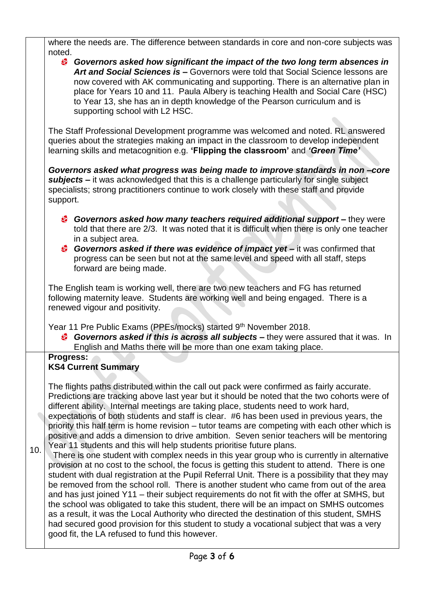| where the needs are. The difference between standards in core and non-core subjects was                                                                                                                                                                                                                                                                                                                                                                                                                                                                                                                                                                                                                                                                                                                                                                                                                                                                                                                                                                                                                                                                                                                                                                                                                                                                                                                                                                                                |  |  |  |
|----------------------------------------------------------------------------------------------------------------------------------------------------------------------------------------------------------------------------------------------------------------------------------------------------------------------------------------------------------------------------------------------------------------------------------------------------------------------------------------------------------------------------------------------------------------------------------------------------------------------------------------------------------------------------------------------------------------------------------------------------------------------------------------------------------------------------------------------------------------------------------------------------------------------------------------------------------------------------------------------------------------------------------------------------------------------------------------------------------------------------------------------------------------------------------------------------------------------------------------------------------------------------------------------------------------------------------------------------------------------------------------------------------------------------------------------------------------------------------------|--|--|--|
| noted.<br>Governors asked how significant the impact of the two long term absences in<br>Art and Social Sciences is - Governors were told that Social Science lessons are<br>now covered with AK communicating and supporting. There is an alternative plan in<br>place for Years 10 and 11. Paula Albery is teaching Health and Social Care (HSC)<br>to Year 13, she has an in depth knowledge of the Pearson curriculum and is<br>supporting school with L2 HSC.                                                                                                                                                                                                                                                                                                                                                                                                                                                                                                                                                                                                                                                                                                                                                                                                                                                                                                                                                                                                                     |  |  |  |
| The Staff Professional Development programme was welcomed and noted. RL answered<br>queries about the strategies making an impact in the classroom to develop independent<br>learning skills and metacognition e.g. 'Flipping the classroom' and 'Green Time'<br>Governors asked what progress was being made to improve standards in non-core<br>subjects - it was acknowledged that this is a challenge particularly for single subject<br>specialists; strong practitioners continue to work closely with these staff and provide<br>support.                                                                                                                                                                                                                                                                                                                                                                                                                                                                                                                                                                                                                                                                                                                                                                                                                                                                                                                                       |  |  |  |
|                                                                                                                                                                                                                                                                                                                                                                                                                                                                                                                                                                                                                                                                                                                                                                                                                                                                                                                                                                                                                                                                                                                                                                                                                                                                                                                                                                                                                                                                                        |  |  |  |
| <b>Governors asked if there was evidence of impact yet –</b> it was confirmed that<br>progress can be seen but not at the same level and speed with all staff, steps<br>forward are being made.                                                                                                                                                                                                                                                                                                                                                                                                                                                                                                                                                                                                                                                                                                                                                                                                                                                                                                                                                                                                                                                                                                                                                                                                                                                                                        |  |  |  |
| The English team is working well, there are two new teachers and FG has returned<br>following maternity leave. Students are working well and being engaged. There is a<br>renewed vigour and positivity.                                                                                                                                                                                                                                                                                                                                                                                                                                                                                                                                                                                                                                                                                                                                                                                                                                                                                                                                                                                                                                                                                                                                                                                                                                                                               |  |  |  |
| Year 11 Pre Public Exams (PPEs/mocks) started 9th November 2018.<br><b>Governors asked if this is across all subjects –</b> they were assured that it was. In<br>English and Maths there will be more than one exam taking place.                                                                                                                                                                                                                                                                                                                                                                                                                                                                                                                                                                                                                                                                                                                                                                                                                                                                                                                                                                                                                                                                                                                                                                                                                                                      |  |  |  |
| Progress:<br><b>KS4 Current Summary</b>                                                                                                                                                                                                                                                                                                                                                                                                                                                                                                                                                                                                                                                                                                                                                                                                                                                                                                                                                                                                                                                                                                                                                                                                                                                                                                                                                                                                                                                |  |  |  |
| The flights paths distributed within the call out pack were confirmed as fairly accurate.<br>Predictions are tracking above last year but it should be noted that the two cohorts were of<br>different ability. Internal meetings are taking place, students need to work hard,<br>expectations of both students and staff is clear. #6 has been used in previous years, the<br>priority this half term is home revision - tutor teams are competing with each other which is<br>positive and adds a dimension to drive ambition. Seven senior teachers will be mentoring<br>Year 11 students and this will help students prioritise future plans.<br>There is one student with complex needs in this year group who is currently in alternative<br>provision at no cost to the school, the focus is getting this student to attend. There is one<br>student with dual registration at the Pupil Referral Unit. There is a possibility that they may<br>be removed from the school roll. There is another student who came from out of the area<br>and has just joined Y11 - their subject requirements do not fit with the offer at SMHS, but<br>the school was obligated to take this student, there will be an impact on SMHS outcomes<br>as a result, it was the Local Authority who directed the destination of this student, SMHS<br>had secured good provision for this student to study a vocational subject that was a very<br>good fit, the LA refused to fund this however. |  |  |  |
|                                                                                                                                                                                                                                                                                                                                                                                                                                                                                                                                                                                                                                                                                                                                                                                                                                                                                                                                                                                                                                                                                                                                                                                                                                                                                                                                                                                                                                                                                        |  |  |  |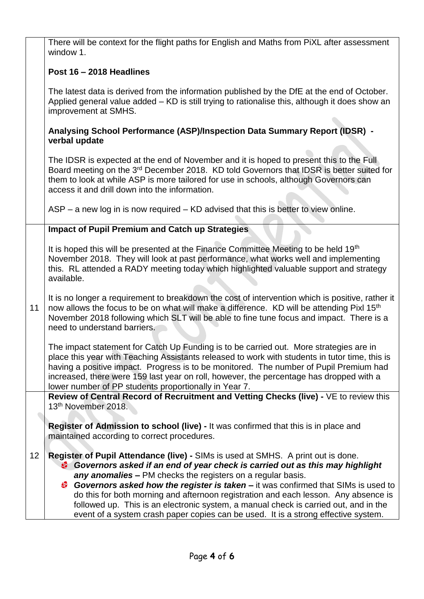There will be context for the flight paths for English and Maths from PiXL after assessment window 1.

#### **Post 16 – 2018 Headlines**

The latest data is derived from the information published by the DfE at the end of October. Applied general value added – KD is still trying to rationalise this, although it does show an improvement at SMHS.

#### **Analysing School Performance (ASP)/Inspection Data Summary Report (IDSR) verbal update**

The IDSR is expected at the end of November and it is hoped to present this to the Full Board meeting on the 3<sup>rd</sup> December 2018. KD told Governors that IDSR is better suited for them to look at while ASP is more tailored for use in schools, although Governors can access it and drill down into the information.

ASP – a new log in is now required – KD advised that this is better to view online.

#### **Impact of Pupil Premium and Catch up Strategies**

It is hoped this will be presented at the Finance Committee Meeting to be held 19<sup>th</sup> November 2018. They will look at past performance, what works well and implementing this. RL attended a RADY meeting today which highlighted valuable support and strategy available.

11 It is no longer a requirement to breakdown the cost of intervention which is positive, rather it now allows the focus to be on what will make a difference. KD will be attending Pixl 15<sup>th</sup> November 2018 following which SLT will be able to fine tune focus and impact. There is a need to understand barriers.

The impact statement for Catch Up Funding is to be carried out. More strategies are in place this year with Teaching Assistants released to work with students in tutor time, this is having a positive impact. Progress is to be monitored. The number of Pupil Premium had increased, there were 159 last year on roll, however, the percentage has dropped with a lower number of PP students proportionally in Year 7.

**Review of Central Record of Recruitment and Vetting Checks (live) -** VE to review this 13th November 2018.

**Register of Admission to school (live) -** It was confirmed that this is in place and maintained according to correct procedures.

#### 12 **Register of Pupil Attendance (live) -** SIMs is used at SMHS. A print out is done. *Governors asked if an end of year check is carried out as this may highlight any anomalies –* PM checks the registers on a regular basis.

*Governors asked how the register is taken –* it was confirmed that SIMs is used to do this for both morning and afternoon registration and each lesson. Any absence is followed up. This is an electronic system, a manual check is carried out, and in the event of a system crash paper copies can be used. It is a strong effective system.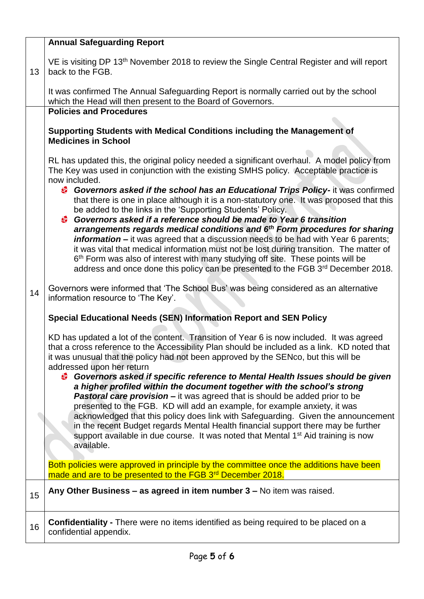|    | <b>Annual Safeguarding Report</b>                                                                                                                                                                                                                                                                                                                                                                                                                                                                                                                                                                                                                                                                                                                                                                                                                                                                                                                                                                                                                                                                        |  |  |  |
|----|----------------------------------------------------------------------------------------------------------------------------------------------------------------------------------------------------------------------------------------------------------------------------------------------------------------------------------------------------------------------------------------------------------------------------------------------------------------------------------------------------------------------------------------------------------------------------------------------------------------------------------------------------------------------------------------------------------------------------------------------------------------------------------------------------------------------------------------------------------------------------------------------------------------------------------------------------------------------------------------------------------------------------------------------------------------------------------------------------------|--|--|--|
| 13 | VE is visiting DP 13 <sup>th</sup> November 2018 to review the Single Central Register and will report<br>back to the FGB.                                                                                                                                                                                                                                                                                                                                                                                                                                                                                                                                                                                                                                                                                                                                                                                                                                                                                                                                                                               |  |  |  |
|    | It was confirmed The Annual Safeguarding Report is normally carried out by the school<br>which the Head will then present to the Board of Governors.                                                                                                                                                                                                                                                                                                                                                                                                                                                                                                                                                                                                                                                                                                                                                                                                                                                                                                                                                     |  |  |  |
|    | <b>Policies and Procedures</b>                                                                                                                                                                                                                                                                                                                                                                                                                                                                                                                                                                                                                                                                                                                                                                                                                                                                                                                                                                                                                                                                           |  |  |  |
|    | Supporting Students with Medical Conditions including the Management of<br><b>Medicines in School</b>                                                                                                                                                                                                                                                                                                                                                                                                                                                                                                                                                                                                                                                                                                                                                                                                                                                                                                                                                                                                    |  |  |  |
|    | RL has updated this, the original policy needed a significant overhaul. A model policy from<br>The Key was used in conjunction with the existing SMHS policy. Acceptable practice is<br>now included.                                                                                                                                                                                                                                                                                                                                                                                                                                                                                                                                                                                                                                                                                                                                                                                                                                                                                                    |  |  |  |
|    | <sup>3</sup> Governors asked if the school has an Educational Trips Policy- it was confirmed<br>that there is one in place although it is a non-statutory one. It was proposed that this<br>be added to the links in the 'Supporting Students' Policy.<br>Governors asked if a reference should be made to Year 6 transition<br>arrangements regards medical conditions and 6 <sup>th</sup> Form procedures for sharing<br><b>information</b> – it was agreed that a discussion needs to be had with Year 6 parents;<br>it was vital that medical information must not be lost during transition. The matter of<br>6 <sup>th</sup> Form was also of interest with many studying off site. These points will be<br>address and once done this policy can be presented to the FGB 3rd December 2018.                                                                                                                                                                                                                                                                                                       |  |  |  |
| 14 | Governors were informed that 'The School Bus' was being considered as an alternative<br>information resource to 'The Key'.                                                                                                                                                                                                                                                                                                                                                                                                                                                                                                                                                                                                                                                                                                                                                                                                                                                                                                                                                                               |  |  |  |
|    | Special Educational Needs (SEN) Information Report and SEN Policy                                                                                                                                                                                                                                                                                                                                                                                                                                                                                                                                                                                                                                                                                                                                                                                                                                                                                                                                                                                                                                        |  |  |  |
|    | KD has updated a lot of the content. Transition of Year 6 is now included. It was agreed<br>that a cross reference to the Accessibility Plan should be included as a link. KD noted that<br>it was unusual that the policy had not been approved by the SENco, but this will be<br>addressed upon her return<br>Governors asked if specific reference to Mental Health Issues should be given<br>a higher profiled within the document together with the school's strong<br><b>Pastoral care provision –</b> it was agreed that is should be added prior to be<br>presented to the FGB. KD will add an example, for example anxiety, it was<br>acknowledged that this policy does link with Safeguarding. Given the announcement<br>in the recent Budget regards Mental Health financial support there may be further<br>support available in due course. It was noted that Mental 1 <sup>st</sup> Aid training is now<br>available.<br>Both policies were approved in principle by the committee once the additions have been<br>made and are to be presented to the FGB 3 <sup>rd</sup> December 2018. |  |  |  |
| 15 | Any Other Business - as agreed in item number 3 - No item was raised.                                                                                                                                                                                                                                                                                                                                                                                                                                                                                                                                                                                                                                                                                                                                                                                                                                                                                                                                                                                                                                    |  |  |  |
| 16 | <b>Confidentiality</b> - There were no items identified as being required to be placed on a<br>confidential appendix.                                                                                                                                                                                                                                                                                                                                                                                                                                                                                                                                                                                                                                                                                                                                                                                                                                                                                                                                                                                    |  |  |  |